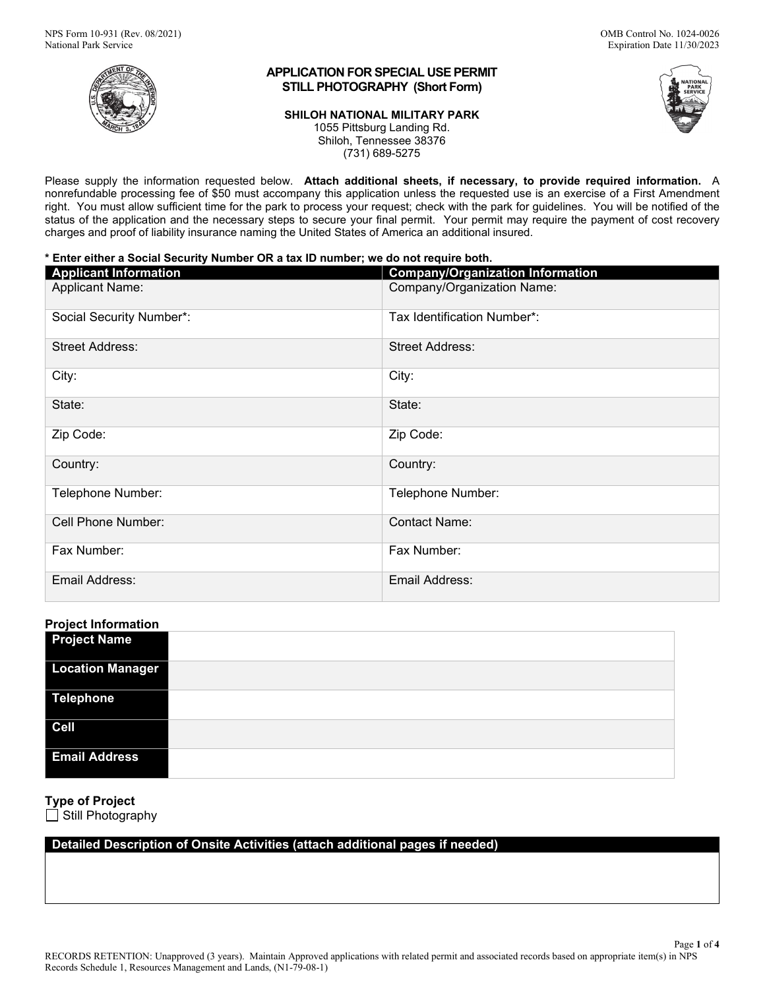

## **APPLICATION FOR SPECIAL USE PERMIT STILL PHOTOGRAPHY (Short Form)**

#### **SHILOH NATIONAL MILITARY PARK**

1055 Pittsburg Landing Rd.



Shiloh, Tennessee 38376 (731) 689-5275

Please supply the information requested below. **Attach additional sheets, if necessary, to provide required information.** A nonrefundable processing fee of \$50 must accompany this application unless the requested use is an exercise of a First Amendment right. You must allow sufficient time for the park to process your request; check with the park for guidelines. You will be notified of the status of the application and the necessary steps to secure your final permit. Your permit may require the payment of cost recovery charges and proof of liability insurance naming the United States of America an additional insured.

#### **\* Enter either a Social Security Number OR a tax ID number; we do not require both.**

| <b>Applicant Information</b> | <b>Company/Organization Information</b> |
|------------------------------|-----------------------------------------|
| <b>Applicant Name:</b>       | Company/Organization Name:              |
| Social Security Number*:     | Tax Identification Number*:             |
| <b>Street Address:</b>       | <b>Street Address:</b>                  |
| City:                        | City:                                   |
| State:                       | State:                                  |
| Zip Code:                    | Zip Code:                               |
| Country:                     | Country:                                |
| Telephone Number:            | Telephone Number:                       |
| Cell Phone Number:           | <b>Contact Name:</b>                    |
| Fax Number:                  | Fax Number:                             |
| Email Address:               | Email Address:                          |

## **Project Information**

| - -<br><b>Project Name</b> |  |
|----------------------------|--|
| <b>Location Manager</b>    |  |
| <b>Telephone</b>           |  |
| <b>Cell</b>                |  |
| <b>Email Address</b>       |  |

# **Type of Project**

Still Photography

## **Detailed Description of Onsite Activities (attach additional pages if needed)**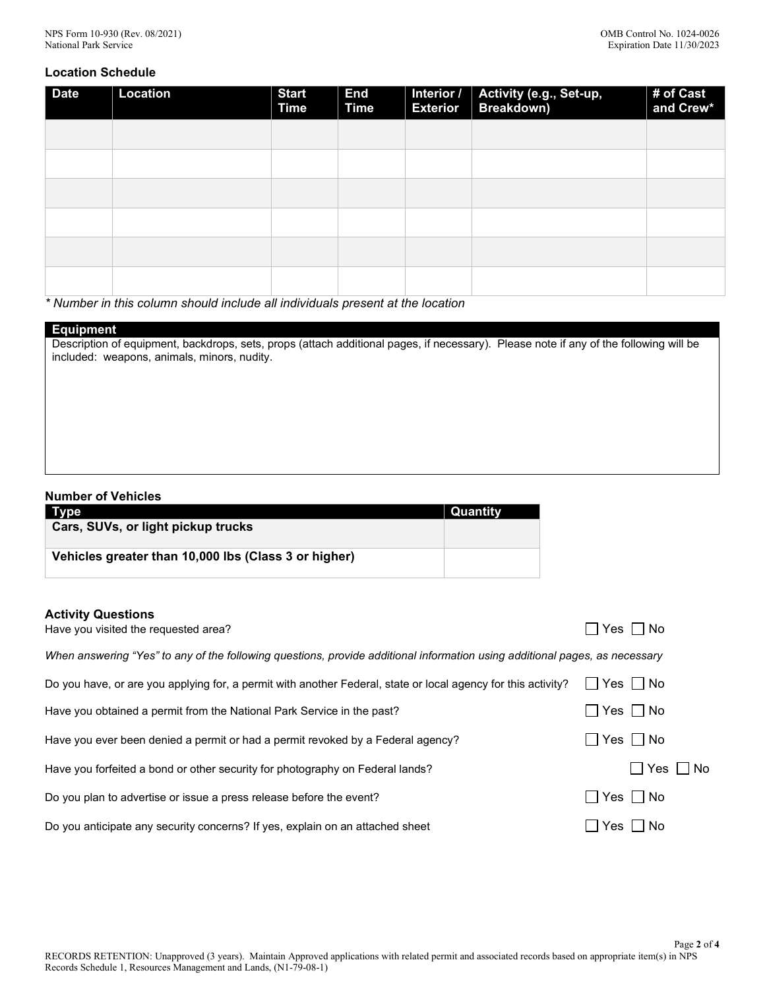### **Location Schedule**

| <b>Date</b> | <b>Location</b> | <b>Start</b><br><b>Time</b> | <b>End</b><br><b>Time</b> | Interior /<br><b>Exterior</b> | Activity (e.g., Set-up,<br>Breakdown) | # of Cast<br>and Crew* |
|-------------|-----------------|-----------------------------|---------------------------|-------------------------------|---------------------------------------|------------------------|
|             |                 |                             |                           |                               |                                       |                        |
|             |                 |                             |                           |                               |                                       |                        |
|             |                 |                             |                           |                               |                                       |                        |
|             |                 |                             |                           |                               |                                       |                        |
|             |                 |                             |                           |                               |                                       |                        |
|             |                 |                             |                           |                               |                                       |                        |

*\* Number in this column should include all individuals present at the location*

## **Equipment**

Description of equipment, backdrops, sets, props (attach additional pages, if necessary). Please note if any of the following will be included: weapons, animals, minors, nudity.

### **Number of Vehicles**

| Type                                                 | Quantity |
|------------------------------------------------------|----------|
| Cars, SUVs, or light pickup trucks                   |          |
|                                                      |          |
| Vehicles greater than 10,000 lbs (Class 3 or higher) |          |
|                                                      |          |

#### **Activity Questions**

| Have you visited the requested area?                                                                                        | Yes ∏ No                  |
|-----------------------------------------------------------------------------------------------------------------------------|---------------------------|
| When answering "Yes" to any of the following questions, provide additional information using additional pages, as necessary |                           |
| Do you have, or are you applying for, a permit with another Federal, state or local agency for this activity?               | Yes     No                |
| Have you obtained a permit from the National Park Service in the past?                                                      | $\Box$ Yes $\Box$ No      |
| Have you ever been denied a permit or had a permit revoked by a Federal agency?                                             | $\Box$ Yes $\Box$ No      |
| Have you forfeited a bond or other security for photography on Federal lands?                                               | $\Box$ Yes $\Box$<br>∣ No |
| Do you plan to advertise or issue a press release before the event?                                                         | $\Box$ Yes $\Box$ No      |
| Do you anticipate any security concerns? If yes, explain on an attached sheet                                               | $\Box$ Yes $\Box$ No      |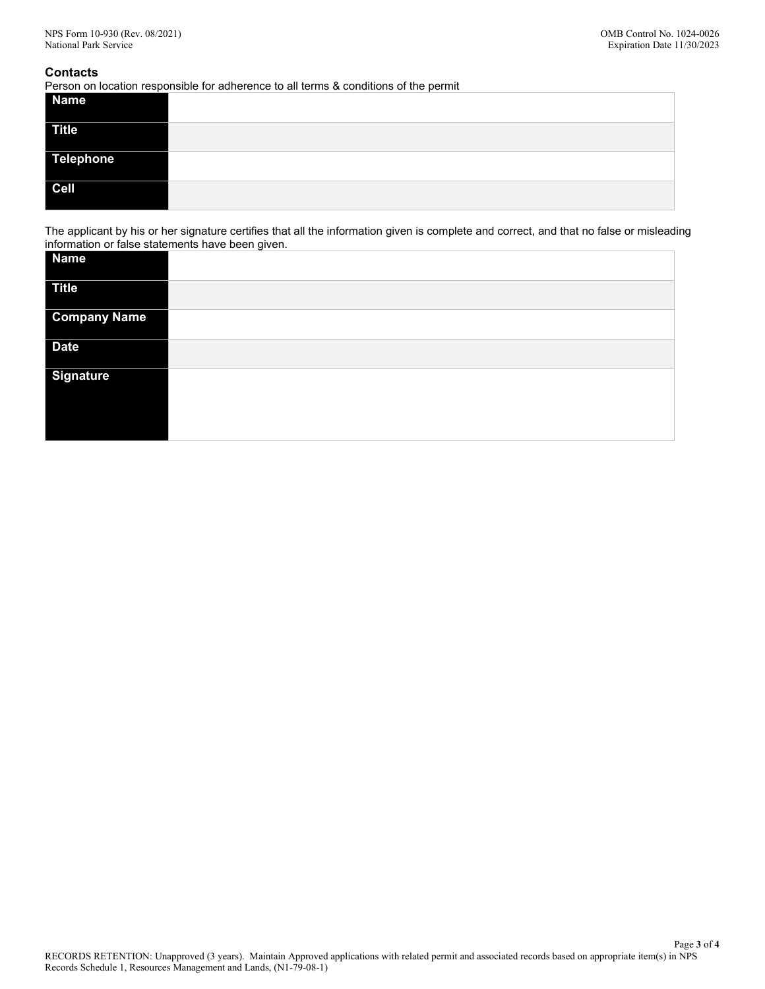#### **Contacts**

Person on location responsible for adherence to all terms & conditions of the permit

| <b>Name</b>  |  |
|--------------|--|
| <b>Title</b> |  |
| Telephone    |  |
| $ $ Cell     |  |

The applicant by his or her signature certifies that all the information given is complete and correct, and that no false or misleading information or false statements have been given.

| Name                |  |
|---------------------|--|
| <b>Title</b>        |  |
| <b>Company Name</b> |  |
| <b>Date</b>         |  |
| <b>Signature</b>    |  |